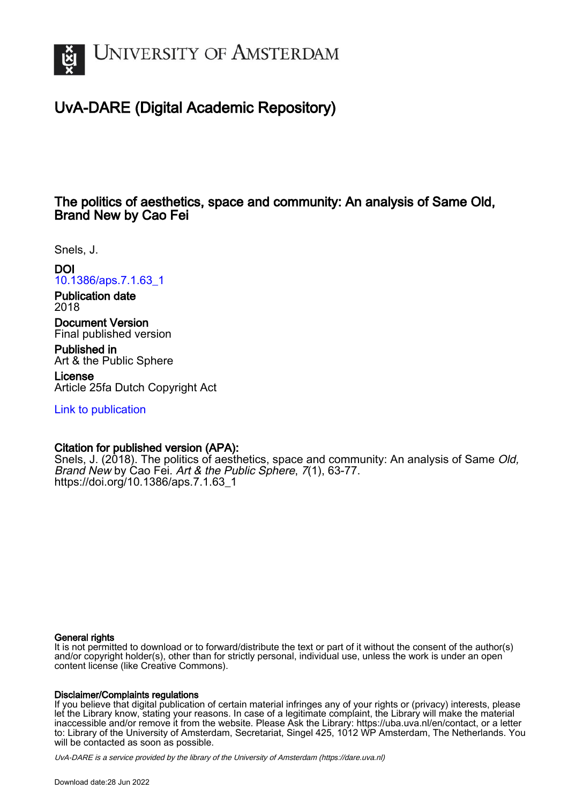

# UvA-DARE (Digital Academic Repository)

# The politics of aesthetics, space and community: An analysis of Same Old, Brand New by Cao Fei

Snels, J.

DOI

[10.1386/aps.7.1.63\\_1](https://doi.org/10.1386/aps.7.1.63_1)

Publication date 2018

Document Version Final published version

Published in Art & the Public Sphere

License Article 25fa Dutch Copyright Act

[Link to publication](https://dare.uva.nl/personal/pure/en/publications/the-politics-of-aesthetics-space-and-community-an-analysis-of-same-old-brand-new-by-cao-fei(b9f08db1-1fb5-4167-a9ef-d24d39d459dc).html)

# Citation for published version (APA):

Snels, J. (2018). The politics of aesthetics, space and community: An analysis of Same Old, Brand New by Cao Fei. Art & the Public Sphere, 7(1), 63-77. [https://doi.org/10.1386/aps.7.1.63\\_1](https://doi.org/10.1386/aps.7.1.63_1)

# General rights

It is not permitted to download or to forward/distribute the text or part of it without the consent of the author(s) and/or copyright holder(s), other than for strictly personal, individual use, unless the work is under an open content license (like Creative Commons).

# Disclaimer/Complaints regulations

If you believe that digital publication of certain material infringes any of your rights or (privacy) interests, please let the Library know, stating your reasons. In case of a legitimate complaint, the Library will make the material inaccessible and/or remove it from the website. Please Ask the Library: https://uba.uva.nl/en/contact, or a letter to: Library of the University of Amsterdam, Secretariat, Singel 425, 1012 WP Amsterdam, The Netherlands. You will be contacted as soon as possible.

UvA-DARE is a service provided by the library of the University of Amsterdam (http*s*://dare.uva.nl)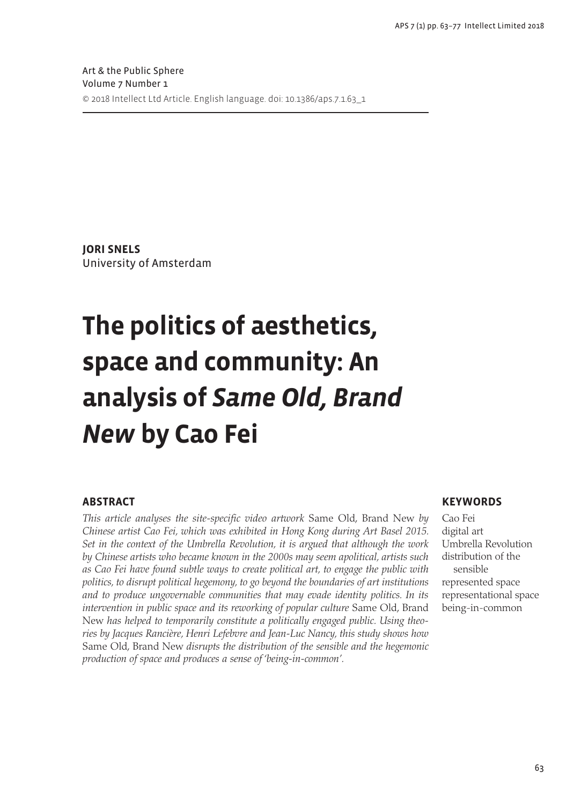**Jori Snels** University of Amsterdam

# **The politics of aesthetics, space and community: An analysis of** *Same Old, Brand New* **by Cao Fei**

# **Abstract**

*This article analyses the site-specific video artwork* Same Old, Brand New *by Chinese artist Cao Fei, which was exhibited in Hong Kong during Art Basel 2015. Set in the context of the Umbrella Revolution, it is argued that although the work by Chinese artists who became known in the 2000s may seem apolitical, artists such as Cao Fei have found subtle ways to create political art, to engage the public with politics, to disrupt political hegemony, to go beyond the boundaries of art institutions and to produce ungovernable communities that may evade identity politics. In its*  intervention in public space and its reworking of popular culture Same Old, Brand New *has helped to temporarily constitute a politically engaged public. Using theories by Jacques Rancière, Henri Lefebvre and Jean-Luc Nancy, this study shows how*  Same Old, Brand New *disrupts the distribution of the sensible and the hegemonic production of space and produces a sense of 'being-in-common'.*

### **Keywords**

Cao Fei digital art Umbrella Revolution distribution of the sensible represented space representational space being-in-common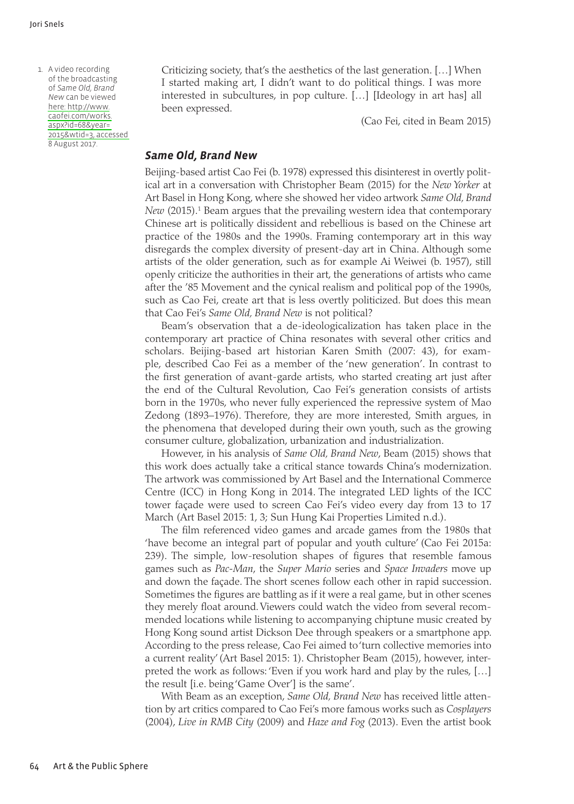1. A video recording of the broadcasting of *Same Old, Brand New* can be viewed [here:](http://www.caofei.com/works.aspx?id=68&year=2015&wtid=3) http://www. [caofei.](http://www.caofei.com/works.aspx?id=68&year=2015&wtid=3)com/works. [aspx?id](http://www.caofei.com/works.aspx?id=68&year=2015&wtid=3)=68&year= [2015&wtid=](http://www.caofei.com/works.aspx?id=68&year=2015&wtid=3)3, accessed 8 August 2017.

◈

Criticizing society, that's the aesthetics of the last generation. […] When I started making art, I didn't want to do political things. I was more interested in subcultures, in pop culture. […] [Ideology in art has] all been expressed.

(Cao Fei, cited in Beam 2015)

#### *Same Old, Brand New*

Beijing-based artist Cao Fei (b. 1978) expressed this disinterest in overtly political art in a conversation with Christopher Beam (2015) for the *New Yorker* at Art Basel in Hong Kong, where she showed her video artwork *Same Old, Brand New* (2015).<sup>1</sup> Beam argues that the prevailing western idea that contemporary Chinese art is politically dissident and rebellious is based on the Chinese art practice of the 1980s and the 1990s. Framing contemporary art in this way disregards the complex diversity of present-day art in China. Although some artists of the older generation, such as for example Ai Weiwei (b. 1957), still openly criticize the authorities in their art, the generations of artists who came after the '85 Movement and the cynical realism and political pop of the 1990s, such as Cao Fei, create art that is less overtly politicized. But does this mean that Cao Fei's *Same Old, Brand New* is not political?

Beam's observation that a de-ideologicalization has taken place in the contemporary art practice of China resonates with several other critics and scholars. Beijing-based art historian Karen Smith (2007: 43), for example, described Cao Fei as a member of the 'new generation'. In contrast to the first generation of avant-garde artists, who started creating art just after the end of the Cultural Revolution, Cao Fei's generation consists of artists born in the 1970s, who never fully experienced the repressive system of Mao Zedong (1893–1976). Therefore, they are more interested, Smith argues, in the phenomena that developed during their own youth, such as the growing consumer culture, globalization, urbanization and industrialization.

However, in his analysis of *Same Old, Brand New*, Beam (2015) shows that this work does actually take a critical stance towards China's modernization. The artwork was commissioned by Art Basel and the International Commerce Centre (ICC) in Hong Kong in 2014. The integrated LED lights of the ICC tower façade were used to screen Cao Fei's video every day from 13 to 17 March (Art Basel 2015: 1, 3; Sun Hung Kai Properties Limited n.d.).

The film referenced video games and arcade games from the 1980s that 'have become an integral part of popular and youth culture' (Cao Fei 2015a: 239). The simple, low-resolution shapes of figures that resemble famous games such as *Pac-Man*, the *Super Mario* series and *Space Invaders* move up and down the façade. The short scenes follow each other in rapid succession. Sometimes the figures are battling as if it were a real game, but in other scenes they merely float around. Viewers could watch the video from several recommended locations while listening to accompanying chiptune music created by Hong Kong sound artist Dickson Dee through speakers or a smartphone app. According to the press release, Cao Fei aimed to 'turn collective memories into a current reality' (Art Basel 2015: 1). Christopher Beam (2015), however, interpreted the work as follows: 'Even if you work hard and play by the rules, […] the result [i.e. being 'Game Over'] is the same'.

With Beam as an exception, *Same Old, Brand New* has received little attention by art critics compared to Cao Fei's more famous works such as *Cosplayers*  (2004), *Live in RMB City* (2009) and *Haze and Fog* (2013). Even the artist book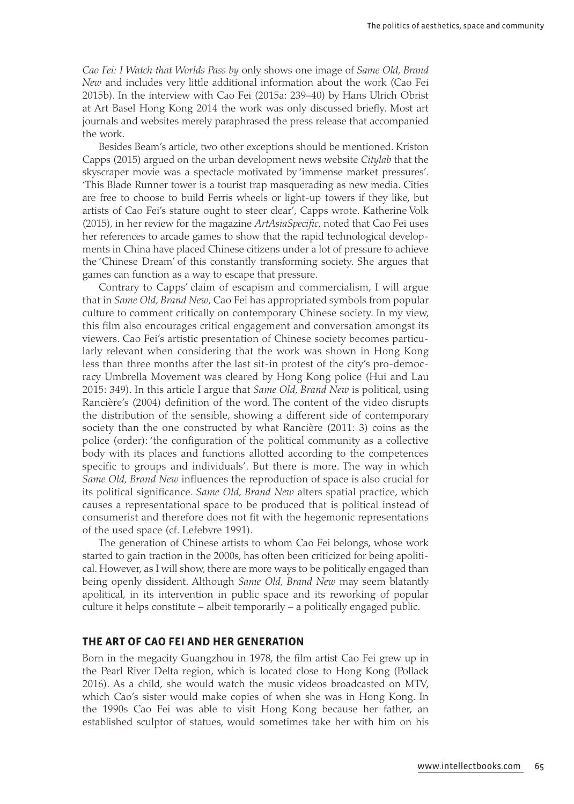*Cao Fei: I Watch that Worlds Pass by* only shows one image of *Same Old, Brand New* and includes very little additional information about the work (Cao Fei 2015b). In the interview with Cao Fei (2015a: 239–40) by Hans Ulrich Obrist at Art Basel Hong Kong 2014 the work was only discussed briefly. Most art journals and websites merely paraphrased the press release that accompanied the work.

Besides Beam's article, two other exceptions should be mentioned. Kriston Capps (2015) argued on the urban development news website *Citylab* that the skyscraper movie was a spectacle motivated by 'immense market pressures'. 'This Blade Runner tower is a tourist trap masquerading as new media. Cities are free to choose to build Ferris wheels or light-up towers if they like, but artists of Cao Fei's stature ought to steer clear', Capps wrote. Katherine Volk (2015), in her review for the magazine *ArtAsiaSpecific*, noted that Cao Fei uses her references to arcade games to show that the rapid technological developments in China have placed Chinese citizens under a lot of pressure to achieve the 'Chinese Dream' of this constantly transforming society. She argues that games can function as a way to escape that pressure.

Contrary to Capps' claim of escapism and commercialism, I will argue that in *Same Old, Brand New*, Cao Fei has appropriated symbols from popular culture to comment critically on contemporary Chinese society. In my view, this film also encourages critical engagement and conversation amongst its viewers. Cao Fei's artistic presentation of Chinese society becomes particularly relevant when considering that the work was shown in Hong Kong less than three months after the last sit-in protest of the city's pro-democracy Umbrella Movement was cleared by Hong Kong police (Hui and Lau 2015: 349). In this article I argue that *Same Old, Brand New* is political, using Rancière's (2004) definition of the word. The content of the video disrupts the distribution of the sensible, showing a different side of contemporary society than the one constructed by what Rancière (2011: 3) coins as the police (order): 'the configuration of the political community as a collective body with its places and functions allotted according to the competences specific to groups and individuals'. But there is more. The way in which *Same Old, Brand New* influences the reproduction of space is also crucial for its political significance. *Same Old, Brand New* alters spatial practice, which causes a representational space to be produced that is political instead of consumerist and therefore does not fit with the hegemonic representations of the used space (cf. Lefebvre 1991).

The generation of Chinese artists to whom Cao Fei belongs, whose work started to gain traction in the 2000s, has often been criticized for being apolitical. However, as I will show, there are more ways to be politically engaged than being openly dissident. Although *Same Old, Brand New* may seem blatantly apolitical, in its intervention in public space and its reworking of popular culture it helps constitute – albeit temporarily – a politically engaged public.

#### **The art of Cao Fei and her generation**

Born in the megacity Guangzhou in 1978, the film artist Cao Fei grew up in the Pearl River Delta region, which is located close to Hong Kong (Pollack 2016). As a child, she would watch the music videos broadcasted on MTV, which Cao's sister would make copies of when she was in Hong Kong. In the 1990s Cao Fei was able to visit Hong Kong because her father, an established sculptor of statues, would sometimes take her with him on his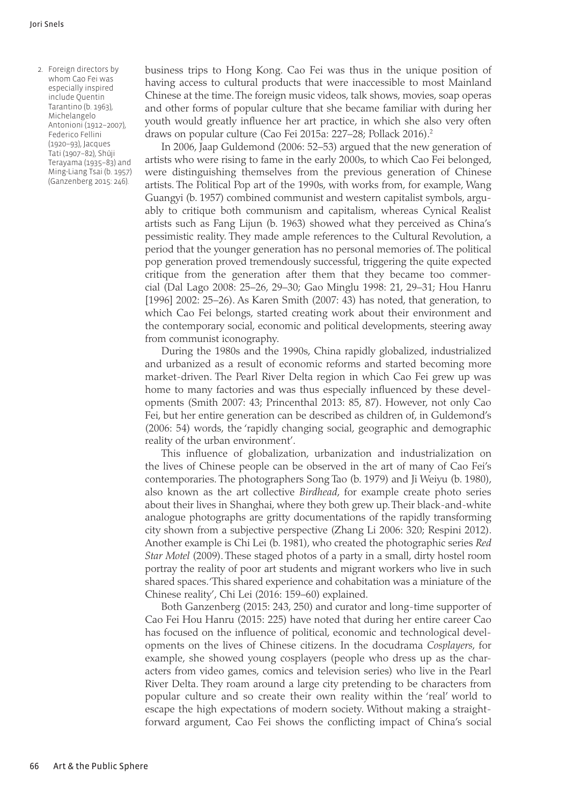2. Foreign directors by whom Cao Fei was especially inspired include Quentin Tarantino (b. 1963), Michelangelo Antonioni (1912–2007), Federico Fellini (1920–93), Jacques Tati (1907-82), Shuji Terayama (1935–83) and Ming-Liang Tsai (b. 1957) (Ganzenberg 2015: 246).

business trips to Hong Kong. Cao Fei was thus in the unique position of having access to cultural products that were inaccessible to most Mainland Chinese at the time. The foreign music videos, talk shows, movies, soap operas and other forms of popular culture that she became familiar with during her youth would greatly influence her art practice, in which she also very often draws on popular culture (Cao Fei 2015a: 227–28; Pollack 2016).2

In 2006, Jaap Guldemond (2006: 52–53) argued that the new generation of artists who were rising to fame in the early 2000s, to which Cao Fei belonged, were distinguishing themselves from the previous generation of Chinese artists. The Political Pop art of the 1990s, with works from, for example, Wang Guangyi (b. 1957) combined communist and western capitalist symbols, arguably to critique both communism and capitalism, whereas Cynical Realist artists such as Fang Lijun (b. 1963) showed what they perceived as China's pessimistic reality. They made ample references to the Cultural Revolution, a period that the younger generation has no personal memories of. The political pop generation proved tremendously successful, triggering the quite expected critique from the generation after them that they became too commercial (Dal Lago 2008: 25–26, 29–30; Gao Minglu 1998: 21, 29–31; Hou Hanru [1996] 2002: 25–26). As Karen Smith (2007: 43) has noted, that generation, to which Cao Fei belongs, started creating work about their environment and the contemporary social, economic and political developments, steering away from communist iconography.

During the 1980s and the 1990s, China rapidly globalized, industrialized and urbanized as a result of economic reforms and started becoming more market-driven. The Pearl River Delta region in which Cao Fei grew up was home to many factories and was thus especially influenced by these developments (Smith 2007: 43; Princenthal 2013: 85, 87). However, not only Cao Fei, but her entire generation can be described as children of, in Guldemond's (2006: 54) words, the 'rapidly changing social, geographic and demographic reality of the urban environment'.

This influence of globalization, urbanization and industrialization on the lives of Chinese people can be observed in the art of many of Cao Fei's contemporaries. The photographers Song Tao (b. 1979) and Ji Weiyu (b. 1980), also known as the art collective *Birdhead*, for example create photo series about their lives in Shanghai, where they both grew up. Their black-and-white analogue photographs are gritty documentations of the rapidly transforming city shown from a subjective perspective (Zhang Li 2006: 320; Respini 2012). Another example is Chi Lei (b. 1981), who created the photographic series *Red Star Motel* (2009). These staged photos of a party in a small, dirty hostel room portray the reality of poor art students and migrant workers who live in such shared spaces. 'This shared experience and cohabitation was a miniature of the Chinese reality', Chi Lei (2016: 159–60) explained.

Both Ganzenberg (2015: 243, 250) and curator and long-time supporter of Cao Fei Hou Hanru (2015: 225) have noted that during her entire career Cao has focused on the influence of political, economic and technological developments on the lives of Chinese citizens. In the docudrama *Cosplayers*, for example, she showed young cosplayers (people who dress up as the characters from video games, comics and television series) who live in the Pearl River Delta. They roam around a large city pretending to be characters from popular culture and so create their own reality within the 'real' world to escape the high expectations of modern society. Without making a straightforward argument, Cao Fei shows the conflicting impact of China's social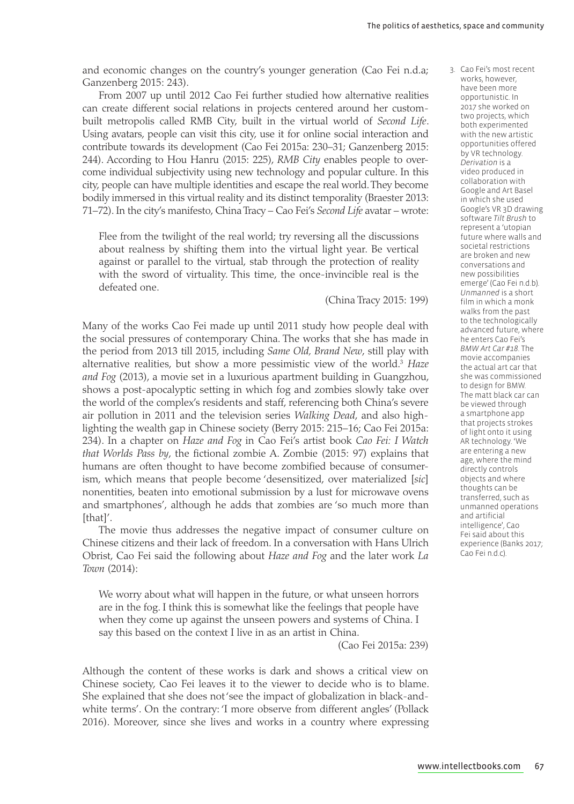and economic changes on the country's younger generation (Cao Fei n.d.a; Ganzenberg 2015: 243).

From 2007 up until 2012 Cao Fei further studied how alternative realities can create different social relations in projects centered around her custombuilt metropolis called RMB City, built in the virtual world of *Second Life*. Using avatars, people can visit this city, use it for online social interaction and contribute towards its development (Cao Fei 2015a: 230–31; Ganzenberg 2015: 244). According to Hou Hanru (2015: 225), *RMB City* enables people to overcome individual subjectivity using new technology and popular culture. In this city, people can have multiple identities and escape the real world. They become bodily immersed in this virtual reality and its distinct temporality (Braester 2013: 71–72). In the city's manifesto, China Tracy – Cao Fei's *Second Life* avatar – wrote:

Flee from the twilight of the real world; try reversing all the discussions about realness by shifting them into the virtual light year. Be vertical against or parallel to the virtual, stab through the protection of reality with the sword of virtuality. This time, the once-invincible real is the defeated one.

(China Tracy 2015: 199)

Many of the works Cao Fei made up until 2011 study how people deal with the social pressures of contemporary China. The works that she has made in the period from 2013 till 2015, including *Same Old, Brand New*, still play with alternative realities, but show a more pessimistic view of the world.3 *Haze and Fog* (2013), a movie set in a luxurious apartment building in Guangzhou, shows a post-apocalyptic setting in which fog and zombies slowly take over the world of the complex's residents and staff, referencing both China's severe air pollution in 2011 and the television series *Walking Dead*, and also highlighting the wealth gap in Chinese society (Berry 2015: 215–16; Cao Fei 2015a: 234). In a chapter on *Haze and Fog* in Cao Fei's artist book *Cao Fei: I Watch that Worlds Pass by*, the fictional zombie A. Zombie (2015: 97) explains that humans are often thought to have become zombified because of consumerism, which means that people become 'desensitized, over materialized [*sic*] nonentities, beaten into emotional submission by a lust for microwave ovens and smartphones', although he adds that zombies are 'so much more than [that]'.

The movie thus addresses the negative impact of consumer culture on Chinese citizens and their lack of freedom. In a conversation with Hans Ulrich Obrist, Cao Fei said the following about *Haze and Fog* and the later work *La Town* (2014):

We worry about what will happen in the future, or what unseen horrors are in the fog. I think this is somewhat like the feelings that people have when they come up against the unseen powers and systems of China. I say this based on the context I live in as an artist in China.

(Cao Fei 2015a: 239)

Although the content of these works is dark and shows a critical view on Chinese society, Cao Fei leaves it to the viewer to decide who is to blame. She explained that she does not 'see the impact of globalization in black-andwhite terms'. On the contrary: 'I more observe from different angles' (Pollack 2016). Moreover, since she lives and works in a country where expressing  3. Cao Fei's most recent works, however, have been more opportunistic. In 2017 she worked on two projects, which both experimented with the new artistic opportunities offered by VR technology. *Derivation* is a video produced in collaboration with Google and Art Basel in which she used Google's VR 3D drawing software *Tilt Brush* to represent a 'utopian future where walls and societal restrictions are broken and new conversations and new possibilities emerge' (Cao Fei n.d.b). *Unmanned* is a short film in which a monk walks from the past to the technologically advanced future, where he enters Cao Fei's *BMW Art Car #18*. The movie accompanies the actual art car that she was commissioned to design for BMW. The matt black car can be viewed through a smartphone app that projects strokes of light onto it using AR technology. 'We are entering a new age, where the mind directly controls objects and where thoughts can be transferred, such as unmanned operations and artificial intelligence', Cao Fei said about this experience (Banks 2017; Cao Fei n.d.c).

⊕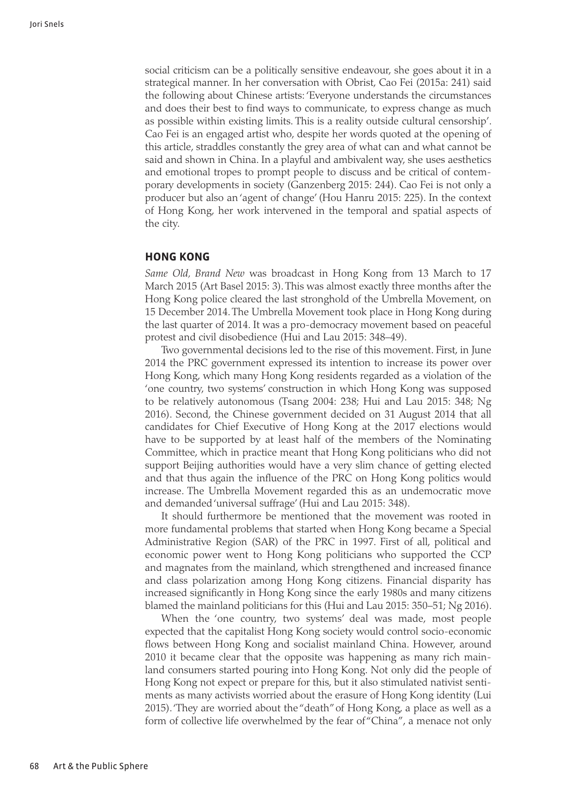social criticism can be a politically sensitive endeavour, she goes about it in a strategical manner. In her conversation with Obrist, Cao Fei (2015a: 241) said the following about Chinese artists: 'Everyone understands the circumstances and does their best to find ways to communicate, to express change as much as possible within existing limits. This is a reality outside cultural censorship'. Cao Fei is an engaged artist who, despite her words quoted at the opening of this article, straddles constantly the grey area of what can and what cannot be said and shown in China. In a playful and ambivalent way, she uses aesthetics and emotional tropes to prompt people to discuss and be critical of contemporary developments in society (Ganzenberg 2015: 244). Cao Fei is not only a producer but also an 'agent of change' (Hou Hanru 2015: 225). In the context of Hong Kong, her work intervened in the temporal and spatial aspects of the city.

#### **Hong Kong**

*Same Old, Brand New* was broadcast in Hong Kong from 13 March to 17 March 2015 (Art Basel 2015: 3). This was almost exactly three months after the Hong Kong police cleared the last stronghold of the Umbrella Movement, on 15 December 2014. The Umbrella Movement took place in Hong Kong during the last quarter of 2014. It was a pro-democracy movement based on peaceful protest and civil disobedience (Hui and Lau 2015: 348–49).

Two governmental decisions led to the rise of this movement. First, in June 2014 the PRC government expressed its intention to increase its power over Hong Kong, which many Hong Kong residents regarded as a violation of the 'one country, two systems' construction in which Hong Kong was supposed to be relatively autonomous (Tsang 2004: 238; Hui and Lau 2015: 348; Ng 2016). Second, the Chinese government decided on 31 August 2014 that all candidates for Chief Executive of Hong Kong at the 2017 elections would have to be supported by at least half of the members of the Nominating Committee, which in practice meant that Hong Kong politicians who did not support Beijing authorities would have a very slim chance of getting elected and that thus again the influence of the PRC on Hong Kong politics would increase. The Umbrella Movement regarded this as an undemocratic move and demanded 'universal suffrage' (Hui and Lau 2015: 348).

It should furthermore be mentioned that the movement was rooted in more fundamental problems that started when Hong Kong became a Special Administrative Region (SAR) of the PRC in 1997. First of all, political and economic power went to Hong Kong politicians who supported the CCP and magnates from the mainland, which strengthened and increased finance and class polarization among Hong Kong citizens. Financial disparity has increased significantly in Hong Kong since the early 1980s and many citizens blamed the mainland politicians for this (Hui and Lau 2015: 350–51; Ng 2016).

When the 'one country, two systems' deal was made, most people expected that the capitalist Hong Kong society would control socio-economic flows between Hong Kong and socialist mainland China. However, around 2010 it became clear that the opposite was happening as many rich mainland consumers started pouring into Hong Kong. Not only did the people of Hong Kong not expect or prepare for this, but it also stimulated nativist sentiments as many activists worried about the erasure of Hong Kong identity (Lui 2015). 'They are worried about the "death" of Hong Kong, a place as well as a form of collective life overwhelmed by the fear of "China", a menace not only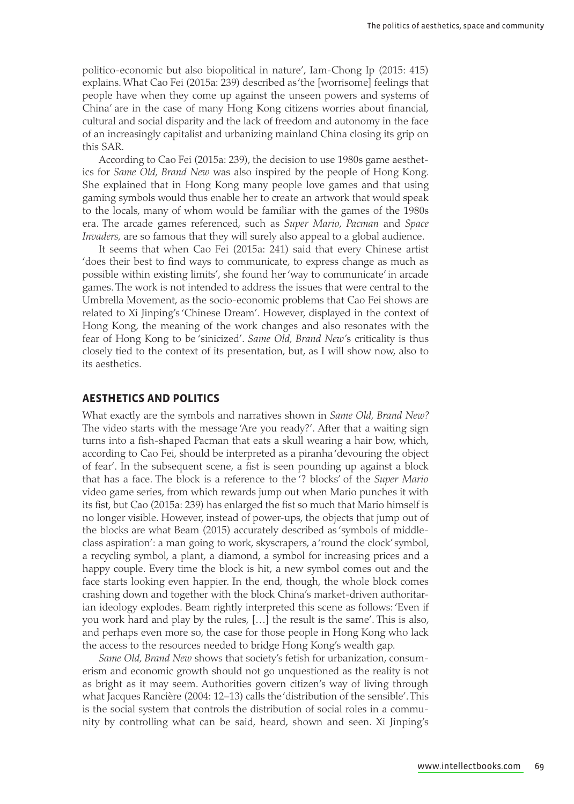politico-economic but also biopolitical in nature', Iam-Chong Ip (2015: 415) explains. What Cao Fei (2015a: 239) described as 'the [worrisome] feelings that people have when they come up against the unseen powers and systems of China' are in the case of many Hong Kong citizens worries about financial, cultural and social disparity and the lack of freedom and autonomy in the face of an increasingly capitalist and urbanizing mainland China closing its grip on this SAR.

According to Cao Fei (2015a: 239), the decision to use 1980s game aesthetics for *Same Old, Brand New* was also inspired by the people of Hong Kong. She explained that in Hong Kong many people love games and that using gaming symbols would thus enable her to create an artwork that would speak to the locals, many of whom would be familiar with the games of the 1980s era. The arcade games referenced, such as *Super Mario*, *Pacman* and *Space Invaders,* are so famous that they will surely also appeal to a global audience.

It seems that when Cao Fei (2015a: 241) said that every Chinese artist 'does their best to find ways to communicate, to express change as much as possible within existing limits', she found her 'way to communicate' in arcade games. The work is not intended to address the issues that were central to the Umbrella Movement, as the socio-economic problems that Cao Fei shows are related to Xi Jinping's 'Chinese Dream'. However, displayed in the context of Hong Kong, the meaning of the work changes and also resonates with the fear of Hong Kong to be 'sinicized'. *Same Old, Brand New'*s criticality is thus closely tied to the context of its presentation, but, as I will show now, also to its aesthetics.

#### **Aesthetics and politics**

What exactly are the symbols and narratives shown in *Same Old, Brand New?* The video starts with the message 'Are you ready?'. After that a waiting sign turns into a fish-shaped Pacman that eats a skull wearing a hair bow, which, according to Cao Fei, should be interpreted as a piranha 'devouring the object of fear'. In the subsequent scene, a fist is seen pounding up against a block that has a face. The block is a reference to the '? blocks' of the *Super Mario* video game series, from which rewards jump out when Mario punches it with its fist, but Cao (2015a: 239) has enlarged the fist so much that Mario himself is no longer visible. However, instead of power-ups, the objects that jump out of the blocks are what Beam (2015) accurately described as 'symbols of middleclass aspiration': a man going to work, skyscrapers, a 'round the clock' symbol, a recycling symbol, a plant, a diamond, a symbol for increasing prices and a happy couple. Every time the block is hit, a new symbol comes out and the face starts looking even happier. In the end, though, the whole block comes crashing down and together with the block China's market-driven authoritarian ideology explodes. Beam rightly interpreted this scene as follows: 'Even if you work hard and play by the rules, […] the result is the same'. This is also, and perhaps even more so, the case for those people in Hong Kong who lack the access to the resources needed to bridge Hong Kong's wealth gap.

*Same Old, Brand New* shows that society's fetish for urbanization, consumerism and economic growth should not go unquestioned as the reality is not as bright as it may seem. Authorities govern citizen's way of living through what Jacques Rancière (2004: 12–13) calls the 'distribution of the sensible'. This is the social system that controls the distribution of social roles in a community by controlling what can be said, heard, shown and seen. Xi Jinping's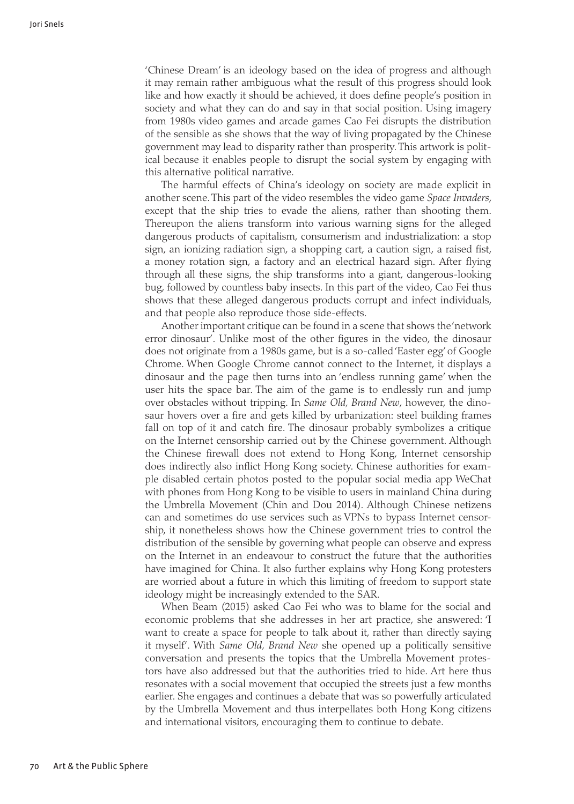'Chinese Dream' is an ideology based on the idea of progress and although it may remain rather ambiguous what the result of this progress should look like and how exactly it should be achieved, it does define people's position in society and what they can do and say in that social position. Using imagery from 1980s video games and arcade games Cao Fei disrupts the distribution of the sensible as she shows that the way of living propagated by the Chinese government may lead to disparity rather than prosperity. This artwork is political because it enables people to disrupt the social system by engaging with this alternative political narrative.

The harmful effects of China's ideology on society are made explicit in another scene. This part of the video resembles the video game *Space Invaders*, except that the ship tries to evade the aliens, rather than shooting them. Thereupon the aliens transform into various warning signs for the alleged dangerous products of capitalism, consumerism and industrialization: a stop sign, an ionizing radiation sign, a shopping cart, a caution sign, a raised fist, a money rotation sign, a factory and an electrical hazard sign. After flying through all these signs, the ship transforms into a giant, dangerous-looking bug, followed by countless baby insects. In this part of the video, Cao Fei thus shows that these alleged dangerous products corrupt and infect individuals, and that people also reproduce those side-effects.

Another important critique can be found in a scene that shows the 'network error dinosaur'. Unlike most of the other figures in the video, the dinosaur does not originate from a 1980s game, but is a so-called 'Easter egg' of Google Chrome. When Google Chrome cannot connect to the Internet, it displays a dinosaur and the page then turns into an 'endless running game' when the user hits the space bar. The aim of the game is to endlessly run and jump over obstacles without tripping. In *Same Old, Brand New*, however, the dinosaur hovers over a fire and gets killed by urbanization: steel building frames fall on top of it and catch fire. The dinosaur probably symbolizes a critique on the Internet censorship carried out by the Chinese government. Although the Chinese firewall does not extend to Hong Kong, Internet censorship does indirectly also inflict Hong Kong society. Chinese authorities for example disabled certain photos posted to the popular social media app WeChat with phones from Hong Kong to be visible to users in mainland China during the Umbrella Movement (Chin and Dou 2014). Although Chinese netizens can and sometimes do use services such as VPNs to bypass Internet censorship, it nonetheless shows how the Chinese government tries to control the distribution of the sensible by governing what people can observe and express on the Internet in an endeavour to construct the future that the authorities have imagined for China. It also further explains why Hong Kong protesters are worried about a future in which this limiting of freedom to support state ideology might be increasingly extended to the SAR.

When Beam (2015) asked Cao Fei who was to blame for the social and economic problems that she addresses in her art practice, she answered: 'I want to create a space for people to talk about it, rather than directly saying it myself'. With *Same Old, Brand New* she opened up a politically sensitive conversation and presents the topics that the Umbrella Movement protestors have also addressed but that the authorities tried to hide. Art here thus resonates with a social movement that occupied the streets just a few months earlier. She engages and continues a debate that was so powerfully articulated by the Umbrella Movement and thus interpellates both Hong Kong citizens and international visitors, encouraging them to continue to debate.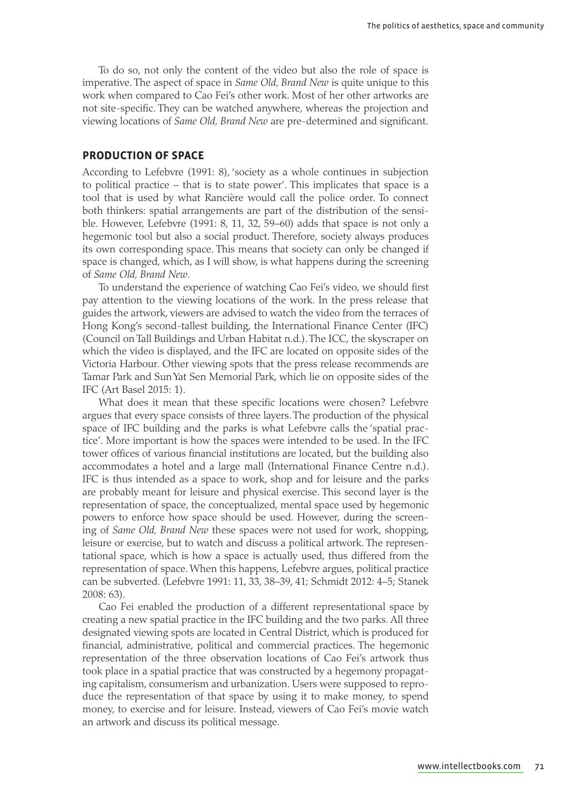To do so, not only the content of the video but also the role of space is imperative. The aspect of space in *Same Old, Brand New* is quite unique to this work when compared to Cao Fei's other work. Most of her other artworks are not site-specific. They can be watched anywhere, whereas the projection and viewing locations of *Same Old, Brand New* are pre-determined and significant.

#### **Production of space**

According to Lefebvre (1991: 8), 'society as a whole continues in subjection to political practice – that is to state power'. This implicates that space is a tool that is used by what Rancière would call the police order. To connect both thinkers: spatial arrangements are part of the distribution of the sensible. However, Lefebvre (1991: 8, 11, 32, 59–60) adds that space is not only a hegemonic tool but also a social product. Therefore, society always produces its own corresponding space. This means that society can only be changed if space is changed, which, as I will show, is what happens during the screening of *Same Old, Brand New*.

To understand the experience of watching Cao Fei's video, we should first pay attention to the viewing locations of the work. In the press release that guides the artwork, viewers are advised to watch the video from the terraces of Hong Kong's second-tallest building, the International Finance Center (IFC) (Council on Tall Buildings and Urban Habitat n.d.). The ICC, the skyscraper on which the video is displayed, and the IFC are located on opposite sides of the Victoria Harbour. Other viewing spots that the press release recommends are Tamar Park and Sun Yat Sen Memorial Park, which lie on opposite sides of the IFC (Art Basel 2015: 1).

What does it mean that these specific locations were chosen? Lefebvre argues that every space consists of three layers. The production of the physical space of IFC building and the parks is what Lefebvre calls the 'spatial practice'. More important is how the spaces were intended to be used. In the IFC tower offices of various financial institutions are located, but the building also accommodates a hotel and a large mall (International Finance Centre n.d.). IFC is thus intended as a space to work, shop and for leisure and the parks are probably meant for leisure and physical exercise. This second layer is the representation of space, the conceptualized, mental space used by hegemonic powers to enforce how space should be used. However, during the screening of *Same Old, Brand New* these spaces were not used for work, shopping, leisure or exercise, but to watch and discuss a political artwork. The representational space, which is how a space is actually used, thus differed from the representation of space. When this happens, Lefebvre argues, political practice can be subverted. (Lefebvre 1991: 11, 33, 38–39, 41; Schmidt 2012: 4–5; Stanek 2008: 63).

Cao Fei enabled the production of a different representational space by creating a new spatial practice in the IFC building and the two parks. All three designated viewing spots are located in Central District, which is produced for financial, administrative, political and commercial practices. The hegemonic representation of the three observation locations of Cao Fei's artwork thus took place in a spatial practice that was constructed by a hegemony propagating capitalism, consumerism and urbanization. Users were supposed to reproduce the representation of that space by using it to make money, to spend money, to exercise and for leisure. Instead, viewers of Cao Fei's movie watch an artwork and discuss its political message.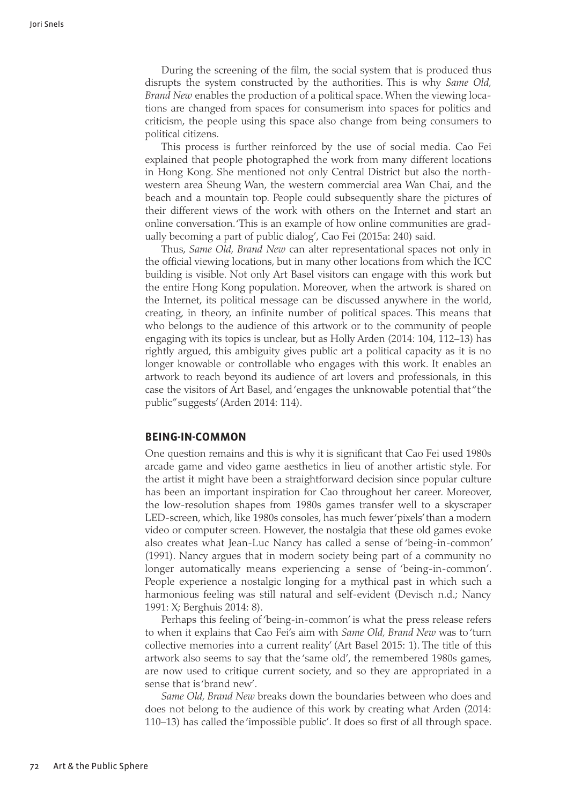During the screening of the film, the social system that is produced thus disrupts the system constructed by the authorities. This is why *Same Old, Brand New* enables the production of a political space. When the viewing locations are changed from spaces for consumerism into spaces for politics and criticism, the people using this space also change from being consumers to political citizens.

This process is further reinforced by the use of social media. Cao Fei explained that people photographed the work from many different locations in Hong Kong. She mentioned not only Central District but also the northwestern area Sheung Wan, the western commercial area Wan Chai, and the beach and a mountain top. People could subsequently share the pictures of their different views of the work with others on the Internet and start an online conversation. 'This is an example of how online communities are gradually becoming a part of public dialog', Cao Fei (2015a: 240) said.

Thus, *Same Old, Brand New* can alter representational spaces not only in the official viewing locations, but in many other locations from which the ICC building is visible. Not only Art Basel visitors can engage with this work but the entire Hong Kong population. Moreover, when the artwork is shared on the Internet, its political message can be discussed anywhere in the world, creating, in theory, an infinite number of political spaces. This means that who belongs to the audience of this artwork or to the community of people engaging with its topics is unclear, but as Holly Arden (2014: 104, 112–13) has rightly argued, this ambiguity gives public art a political capacity as it is no longer knowable or controllable who engages with this work. It enables an artwork to reach beyond its audience of art lovers and professionals, in this case the visitors of Art Basel, and 'engages the unknowable potential that "the public" suggests' (Arden 2014: 114).

#### **Being-in-common**

One question remains and this is why it is significant that Cao Fei used 1980s arcade game and video game aesthetics in lieu of another artistic style. For the artist it might have been a straightforward decision since popular culture has been an important inspiration for Cao throughout her career. Moreover, the low-resolution shapes from 1980s games transfer well to a skyscraper LED-screen, which, like 1980s consoles, has much fewer 'pixels' than a modern video or computer screen. However, the nostalgia that these old games evoke also creates what Jean-Luc Nancy has called a sense of 'being-in-common' (1991). Nancy argues that in modern society being part of a community no longer automatically means experiencing a sense of 'being-in-common'. People experience a nostalgic longing for a mythical past in which such a harmonious feeling was still natural and self-evident (Devisch n.d.; Nancy 1991: X; Berghuis 2014: 8).

Perhaps this feeling of 'being-in-common' is what the press release refers to when it explains that Cao Fei's aim with *Same Old, Brand New* was to 'turn collective memories into a current reality' (Art Basel 2015: 1). The title of this artwork also seems to say that the 'same old', the remembered 1980s games, are now used to critique current society, and so they are appropriated in a sense that is 'brand new'.

*Same Old, Brand New* breaks down the boundaries between who does and does not belong to the audience of this work by creating what Arden (2014: 110–13) has called the 'impossible public'. It does so first of all through space.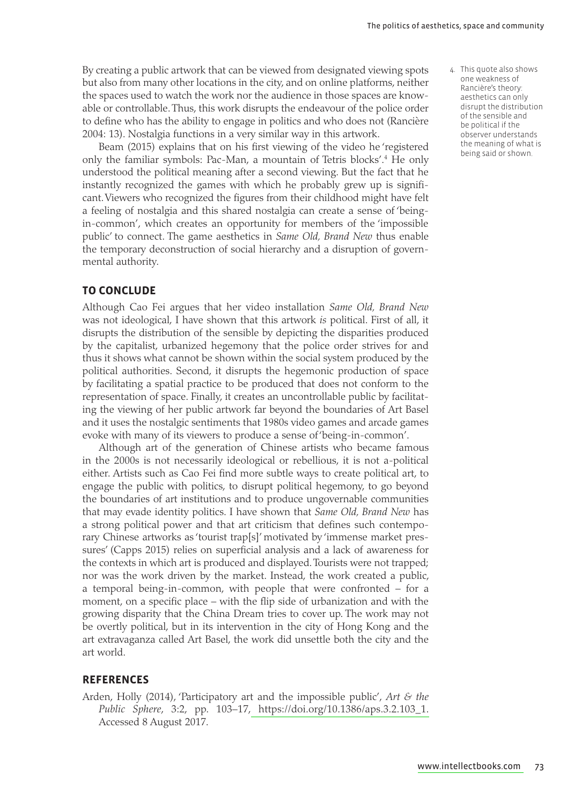By creating a public artwork that can be viewed from designated viewing spots but also from many other locations in the city, and on online platforms, neither the spaces used to watch the work nor the audience in those spaces are knowable or controllable. Thus, this work disrupts the endeavour of the police order to define who has the ability to engage in politics and who does not (Rancière 2004: 13). Nostalgia functions in a very similar way in this artwork.

Beam (2015) explains that on his first viewing of the video he 'registered only the familiar symbols: Pac-Man, a mountain of Tetris blocks'.4 He only understood the political meaning after a second viewing. But the fact that he instantly recognized the games with which he probably grew up is significant. Viewers who recognized the figures from their childhood might have felt a feeling of nostalgia and this shared nostalgia can create a sense of 'beingin-common', which creates an opportunity for members of the 'impossible public' to connect. The game aesthetics in *Same Old, Brand New* thus enable the temporary deconstruction of social hierarchy and a disruption of governmental authority.

#### **To conclude**

Although Cao Fei argues that her video installation *Same Old, Brand New* was not ideological, I have shown that this artwork *is* political. First of all, it disrupts the distribution of the sensible by depicting the disparities produced by the capitalist, urbanized hegemony that the police order strives for and thus it shows what cannot be shown within the social system produced by the political authorities. Second, it disrupts the hegemonic production of space by facilitating a spatial practice to be produced that does not conform to the representation of space. Finally, it creates an uncontrollable public by facilitating the viewing of her public artwork far beyond the boundaries of Art Basel and it uses the nostalgic sentiments that 1980s video games and arcade games evoke with many of its viewers to produce a sense of 'being-in-common'.

Although art of the generation of Chinese artists who became famous in the 2000s is not necessarily ideological or rebellious, it is not a-political either. Artists such as Cao Fei find more subtle ways to create political art, to engage the public with politics, to disrupt political hegemony, to go beyond the boundaries of art institutions and to produce ungovernable communities that may evade identity politics. I have shown that *Same Old, Brand New* has a strong political power and that art criticism that defines such contemporary Chinese artworks as 'tourist trap[s]' motivated by 'immense market pressures' (Capps 2015) relies on superficial analysis and a lack of awareness for the contexts in which art is produced and displayed. Tourists were not trapped; nor was the work driven by the market. Instead, the work created a public, a temporal being-in-common, with people that were confronted – for a moment, on a specific place – with the flip side of urbanization and with the growing disparity that the China Dream tries to cover up. The work may not be overtly political, but in its intervention in the city of Hong Kong and the art extravaganza called Art Basel, the work did unsettle both the city and the art world.

#### **References**

Arden, Holly (2014), 'Participatory art and the impossible public', *Art & the Public Sphere*, 3:2, pp. [103–17, https://doi.org/10.1386/aps.3](https://doi.org/10.1386/aps.3.2.103_1).2.103\_1. Accessed 8 August 2017.

 4. This quote also shows one weakness of Rancière's theory: aesthetics can only disrupt the distribution of the sensible and be political if the observer understands the meaning of what is being said or shown.

[www.intellectbo](http://www.intellectbooks.com)oks.com 73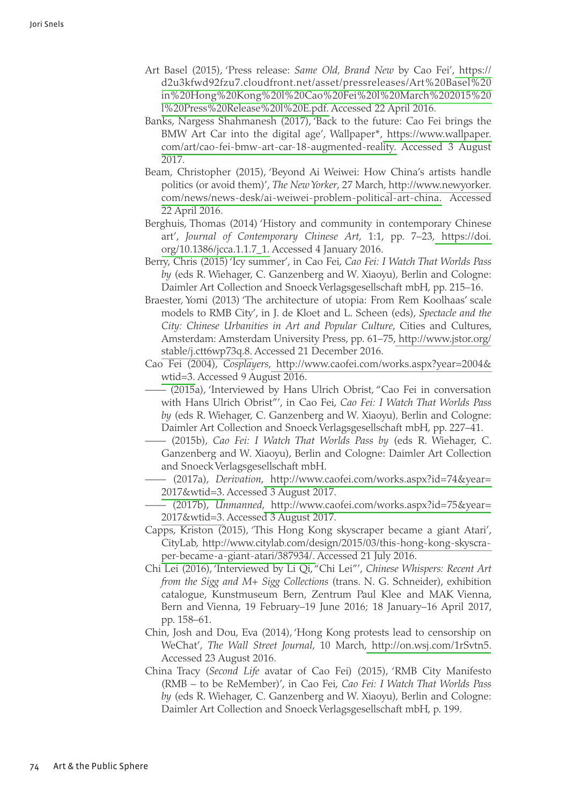- Art Basel (2015), 'Press release: *Same Old, Brand New* by [Cao Fei'](https://d2u3kfwd92fzu7.cloudfront.net/asset/pressreleases/Art%20Basel%20in%20Hong%20Kong%20l%20Cao%20Fei%20l%20March%202015%20l%20Press%20Release%20l%20E.pdf), https:// [d2u3kfwd92fzu7.cloudfront.net/asset/pressreleases/Art%20B](https://d2u3kfwd92fzu7.cloudfront.net/asset/pressreleases/Art%20Basel%20in%20Hong%20Kong%20l%20Cao%20Fei%20l%20March%202015%20l%20Press%20Release%20l%20E.pdf)asel%20 [in%20Hong%20Kong%20l%20Cao%20Fei%20l%20March%202](https://d2u3kfwd92fzu7.cloudfront.net/asset/pressreleases/Art%20Basel%20in%20Hong%20Kong%20l%20Cao%20Fei%20l%20March%202015%20l%20Press%20Release%20l%20E.pdf)015%20 [l%20Press%20Release%20l%](https://d2u3kfwd92fzu7.cloudfront.net/asset/pressreleases/Art%20Basel%20in%20Hong%20Kong%20l%20Cao%20Fei%20l%20March%202015%20l%20Press%20Release%20l%20E.pdf)20E.pdf. Accessed 22 April 2016.
- Banks, Nargess Shahmanesh (2017), 'Back to the future: Cao Fei brings the BMW Art Car into the digital age', W[allpaper\\*, https://www.w](https://www.wallpaper.com/art/cao-fei-bmw-art-car-18-augmented-reality)allpaper. [com/art/cao-fei-bmw-art-car-18-augmente](https://www.wallpaper.com/art/cao-fei-bmw-art-car-18-augmented-reality)d-reality. Accessed 3 August 2017.
- Beam, Christopher (2015), 'Beyond Ai Weiwei: How China's artists handle politics (or avoid them)', *The New Yorker*, [27 March, http://www.ne](http://www.newyorker.com/news/news-desk/ai-weiwei-problem-political-art-china)wyorker. [com/news/news-desk/ai-weiwei-problem-political-a](http://www.newyorker.com/news/news-desk/ai-weiwei-problem-political-art-china)rt-china. Accessed 22 April 2016.
- Berghuis, Thomas (2014) 'History and community in contemporary Chinese art', *Journal of Contemporary Chinese Art*, 1:1, [pp. 7–23, ht](https://doi.org/10.1386/jcca.1.1.7_1)tps://doi. [org/10.1386/jcc](https://doi.org/10.1386/jcca.1.1.7_1)a.1.1.7\_1. Accessed 4 January 2016.
- Berry, Chris (2015) 'Icy summer', in Cao Fei, *Cao Fei: I Watch That Worlds Pass by* (eds R. Wiehager, C. Ganzenberg and W. Xiaoyu)*,* Berlin and Cologne: Daimler Art Collection and Snoeck Verlagsgesellschaft mbH, pp. 215–16.
- Braester, Yomi (2013) 'The architecture of utopia: From Rem Koolhaas' scale models to RMB City', in J. de Kloet and L. Scheen (eds), *Spectacle and the City: Chinese Urbanities in Art and Popular Culture*, Cities and Cultures, Amsterdam: Amsterdam University Press, [pp. 61–75, http://www](http://www.jstor.org/stable/j.ctt6wp73q.8).jstor.org/ [stable/j.ctt6](http://www.jstor.org/stable/j.ctt6wp73q.8)wp73q.8. Accessed 21 December 2016.
- Cao Fei (2004), *Cosplayers*[, http://www.caofei.com/works.aspx?yea](http://www.caofei.com/works.aspx?year=2004&wtid=3)r=2004& wtid=3. Accessed 9 August 2016.
	- $\overline{-(2015a)}$ , 'Interviewed by Hans Ulrich Obrist, "Cao Fei in conversation with Hans Ulrich Obrist"', in Cao Fei, *Cao Fei: I Watch That Worlds Pass by* (eds R. Wiehager, C. Ganzenberg and W. Xiaoyu)*,* Berlin and Cologne: Daimler Art Collection and Snoeck Verlagsgesellschaft mbH, pp. 227–41.
	- —— (2015b), *Cao Fei: I Watch That Worlds Pass by* (eds R. Wiehager, C. Ganzenberg and W. Xiaoyu), Berlin and Cologne: Daimler Art Collection and Snoeck Verlagsgesellschaft mbH.
	- —— (2017a), *Derivation*[, http://www.caofei.com/works.aspx?id=7](http://www.caofei.com/works.aspx?id=74&year=2017&wtid=3)4&year= [2017&](http://www.caofei.com/works.aspx?id=74&year=2017&wtid=3)wtid=3. Accessed 3 August 2017.
	- —— (2017b), *Unmanned*[, http://www.caofei.com/works.aspx?id=7](http://www.caofei.com/works.aspx?id=75&year=2017&wtid=3)5&year= [2017&](http://www.caofei.com/works.aspx?id=75&year=2017&wtid=3)wtid=3. Accessed 3 August 2017.
- Capps, Kriston (2015), 'This Hong Kong skyscraper became a giant Atari', [CityLab, http://www.citylab.com/design/2015/03/this-hong-kong](http://www.citylab.com/design/2015/03/this-hong-kong-skyscraper-became-a-giant-atari/387934/)-skyscra[per-became-a-giant-atari](http://www.citylab.com/design/2015/03/this-hong-kong-skyscraper-became-a-giant-atari/387934/)/387934/. Accessed 21 July 2016.
- Chi Lei (2016), 'Interviewed by Li Qi, "Chi Lei"', *Chinese Whispers: Recent Art from the Sigg and M+ Sigg Collections* (trans. N. G. Schneider), exhibition catalogue, Kunstmuseum Bern, Zentrum Paul Klee and MAK Vienna, Bern and Vienna, 19 February–19 June 2016; 18 January–16 April 2017, pp. 158–61.
- Chin, Josh and Dou, Eva (2014), 'Hong Kong protests lead to censorship on WeChat', *The Wall Street Journal*, [10 March, http://on.wsj.com](http://on.wsj.com/1rSvtn5)/1rSvtn5. Accessed 23 August 2016.
- China Tracy (*Second Life* avatar of Cao Fei) (2015), 'RMB City Manifesto (RMB – to be ReMember)', in Cao Fei, *Cao Fei: I Watch That Worlds Pass by* (eds R. Wiehager, C. Ganzenberg and W. Xiaoyu)*,* Berlin and Cologne: Daimler Art Collection and Snoeck Verlagsgesellschaft mbH, p. 199.

05\_APS\_7.1\_Snels\_63-77.indd 74 6/28/18 12:08 AM

⊕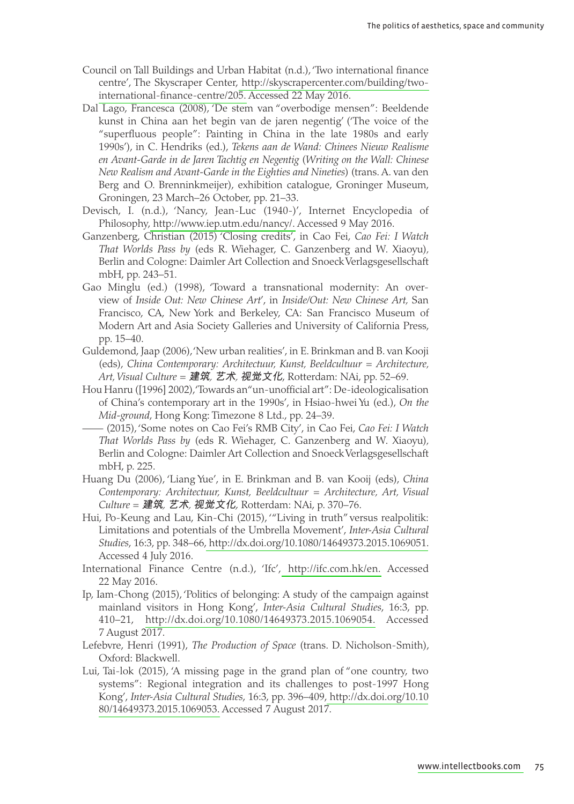- Council on Tall Buildings and Urban Habitat (n.d.), 'Two international finance centre', The Skyscrap[er Center, http://skyscrapercenter.com/build](http://skyscrapercenter.com/building/two-international-finance-centre/205)ing/two[international-finance-ce](http://skyscrapercenter.com/building/two-international-finance-centre/205)ntre/205. Accessed 22 May 2016.
- Dal Lago, Francesca (2008), 'De stem van "overbodige mensen": Beeldende kunst in China aan het begin van de jaren negentig' ('The voice of the "superfluous people": Painting in China in the late 1980s and early 1990s'), in C. Hendriks (ed.), *Tekens aan de Wand: Chinees Nieuw Realisme en Avant-Garde in de Jaren Tachtig en Negentig* (*Writing on the Wall: Chinese New Realism and Avant-Garde in the Eighties and Nineties*) (trans. A. van den Berg and O. Brenninkmeijer), exhibition catalogue, Groninger Museum, Groningen, 23 March–26 October, pp. 21–33.
- Devisch, I. (n.d.), 'Nancy, Jean-Luc (1940-)', Internet Encyclopedia of P[hilosophy, http://www.iep.utm.edu](http://www.iep.utm.edu/nancy/)/nancy/. Accessed 9 May 2016.
- Ganzenberg, Christian (2015) 'Closing credits', in Cao Fei, *Cao Fei: I Watch That Worlds Pass by* (eds R. Wiehager, C. Ganzenberg and W. Xiaoyu)*,*  Berlin and Cologne: Daimler Art Collection and Snoeck Verlagsgesellschaft mbH, pp. 243–51.
- Gao Minglu (ed.) (1998), 'Toward a transnational modernity: An overview of *Inside Out: New Chinese Art*', in *Inside/Out: New Chinese Art,* San Francisco, CA, New York and Berkeley, CA: San Francisco Museum of Modern Art and Asia Society Galleries and University of California Press, pp. 15–40.
- Guldemond, Jaap (2006), 'New urban realities', in E. Brinkman and B. van Kooji (eds), *China Contemporary: Architectuur, Kunst, Beeldcultuur = Architecture, Art, Visual Culture =* 建筑*,* 艺术*,* 视觉文化, Rotterdam: NAi, pp. 52–69.
- Hou Hanru ([1996] 2002), 'Towards an "un-unofficial art": De-ideologicalisation of China's contemporary art in the 1990s', in Hsiao-hwei Yu (ed.), *On the Mid-ground*, Hong Kong: Timezone 8 Ltd., pp. 24–39.
- —— (2015), 'Some notes on Cao Fei's RMB City', in Cao Fei, *Cao Fei: I Watch That Worlds Pass by* (eds R. Wiehager, C. Ganzenberg and W. Xiaoyu)*,*  Berlin and Cologne: Daimler Art Collection and Snoeck Verlagsgesellschaft mbH, p. 225.
- Huang Du (2006), 'Liang Yue', in E. Brinkman and B. van Kooij (eds), *China Contemporary: Architectuur, Kunst, Beeldcultuur = Architecture, Art, Visual Culture =* 建筑*,* 艺术*,* 视觉文化, Rotterdam: NAi, p. 370–76.
- Hui, Po-Keung and Lau, Kin-Chi (2015), '"Living in truth" versus realpolitik: Limitations and potentials of the Umbrella Movement', *Inter-Asia Cultural Studies*, 16:3, p[p. 348–66, http://dx.doi.org/10.1080/14649373.2015](http://dx.doi.org/10.1080/14649373.2015.1069051).1069051. Accessed 4 July 2016.
- International Finance Centre (n[.d.\), 'Ifc', http://ifc.co](http://ifc.com.hk/en)m.hk/en. Accessed 22 May 2016.
- Ip, Iam-Chong (2015), 'Politics of belonging: A study of the campaign against mainland visitors in Hong Kong', *Inter-Asia Cultural Studies*, 16:3, pp. [410–21, http://dx.doi.org/10.1080/14649373.2015.](http://dx.doi.org/10.1080/14649373.2015.1069054)1069054. Accessed 7 August 2017.
- Lefebvre, Henri (1991), *The Production of Space* (trans. D. Nicholson-Smith), Oxford: Blackwell.
- Lui, Tai-lok (2015), 'A missing page in the grand plan of "one country, two systems": Regional integration and its challenges to post-1997 Hong Kong', *Inter-Asia Cultural Studies*, 16:3, pp[. 396–409, http://dx.doi.o](http://dx.doi.org/10.1080/14649373.2015.1069053)rg/10.10 [80/14649373.2015.](http://dx.doi.org/10.1080/14649373.2015.1069053)1069053. Accessed 7 August 2017.

[www.intellectbo](http://www.intellectbooks.com)oks.com 75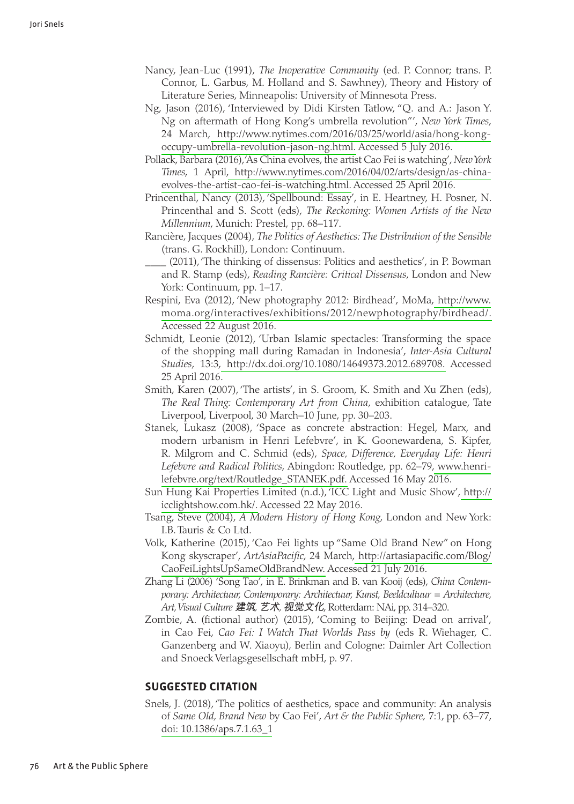- Nancy, Jean-Luc (1991), *The Inoperative Community* (ed. P. Connor; trans. P. Connor, L. Garbus, M. Holland and S. Sawhney), Theory and History of Literature Series, Minneapolis: University of Minnesota Press.
- Ng, Jason (2016), 'Interviewed by Didi Kirsten Tatlow, "Q. and A.: Jason Y. Ng on aftermath of Hong Kong's umbrella revolution"', *New York Times*, 2[4 March, http://www.nytimes.com/2016/03/25/world/asia/hon](http://www.nytimes.com/2016/03/25/world/asia/hong-kong-occupy-umbrella-revolution-jason-ng.html)g-kong[occupy-umbrella-revolution-jason-](http://www.nytimes.com/2016/03/25/world/asia/hong-kong-occupy-umbrella-revolution-jason-ng.html)ng.html. Accessed 5 July 2016.
- Pollack, Barbara (2016), 'As China evolves, the artist Cao Fei is watching', *New York Times*[, 1 April, http://www.nytimes.com/2016/04/02/arts/design/](http://www.nytimes.com/2016/04/02/arts/design/as-china-evolves-the-artist-cao-fei-is-watching.html)as-china[evolves-the-artist-cao-fei-is-watch](http://www.nytimes.com/2016/04/02/arts/design/as-china-evolves-the-artist-cao-fei-is-watching.html)ing.html. Accessed 25 April 2016.
- Princenthal, Nancy (2013), 'Spellbound: Essay', in E. Heartney, H. Posner, N. Princenthal and S. Scott (eds), *The Reckoning: Women Artists of the New Millennium*, Munich: Prestel, pp. 68–117.
- Rancière, Jacques (2004), *The Politics of Aesthetics: The Distribution of the Sensible* (trans. G. Rockhill), London: Continuum.
- (2011), 'The thinking of dissensus: Politics and aesthetics', in P. Bowman and R. Stamp (eds), *Reading Rancière: Critical Dissensus*, London and New York: Continuum, pp. 1–17.
- Respini, Eva (2012), 'New photography 2012: Birdhea[d', MoMa, htt](http://www.moma.org/interactives/exhibitions/2012/newphotography/birdhead/)p://www. [moma.org/interactives/exhibitions/2012/newphotography/bi](http://www.moma.org/interactives/exhibitions/2012/newphotography/birdhead/)rdhead/. Accessed 22 August 2016.
- Schmidt, Leonie (2012), 'Urban Islamic spectacles: Transforming the space of the shopping mall during Ramadan in Indonesia', *Inter-Asia Cultural Studies*[, 13:3, http://dx.doi.org/10.1080/14649373.2012](http://dx.doi.org/10.1080/14649373.2012.689708).689708. Accessed 25 April 2016.
- Smith, Karen (2007), 'The artists', in S. Groom, K. Smith and Xu Zhen (eds), *The Real Thing: Contemporary Art from China*, exhibition catalogue, Tate Liverpool, Liverpool, 30 March–10 June, pp. 30–203.
- Stanek, Lukasz (2008), 'Space as concrete abstraction: Hegel, Marx, and modern urbanism in Henri Lefebvre', in K. Goonewardena, S. Kipfer, R. Milgrom and C. Schmid (eds), *Space, Difference, Everyday Life: Henri Lefebvre and Radical Politics*, Abingdon: Routledge, [pp. 62–79, ww](http://www.henrilefebvre.org/text/Routledge_STANEK.pdf)w.henri[lefebvre.org/text/Routledge\\_STAN](http://www.henrilefebvre.org/text/Routledge_STANEK.pdf)EK.pdf. Accessed 16 May 2016.
- Sun Hung Kai Properties Limited (n.d.), 'ICC Light and Mu[sic Show](http://icclightshow.com.hk/)', http:// [icclightshow.](http://icclightshow.com.hk/)com.hk/. Accessed 22 May 2016.
- Tsang, Steve (2004), *A Modern History of Hong Kong*, London and New York: I.B. Tauris & Co Ltd.
- Volk, Katherine (2015), 'Cao Fei lights up "Same Old Brand New" on Hong Kong skyscraper', *ArtAsiaPacific*, [24 March, http://artasiapacific.c](http://artasiapacific.com/Blog/CaoFeiLightsUpSameOldBrandNew)om/Blog/ [CaoFeiLightsUpSameOldBr](http://artasiapacific.com/Blog/CaoFeiLightsUpSameOldBrandNew)andNew. Accessed 21 July 2016.
- Zhang Li (2006) 'Song Tao', in E. Brinkman and B. van Kooij (eds), *China Contemporary: Architectuur, Contemporary: Architectuur, Kunst, Beeldcultuur = Architecture, Art, Visual Culture* 建筑*,* 艺术*,* 视觉文化, Rotterdam: NAi, pp. 314–320.
- Zombie, A. (fictional author) (2015), 'Coming to Beijing: Dead on arrival', in Cao Fei, *Cao Fei: I Watch That Worlds Pass by* (eds R. Wiehager, C. Ganzenberg and W. Xiaoyu)*,* Berlin and Cologne: Daimler Art Collection and Snoeck Verlagsgesellschaft mbH, p. 97.

#### **Suggested citation**

Snels, J. (2018), 'The politics of aesthetics, space and community: An analysis of *Same Old, Brand New* by Cao Fei', *Art & the Public Sphere,* 7:1, pp. 63–77, [doi: 10.1386/aps](http://dx.doi.org/10.1386/aps.7.1.63_1).7.1.63\_1

#### 76 Art & the Public Sphere

◈